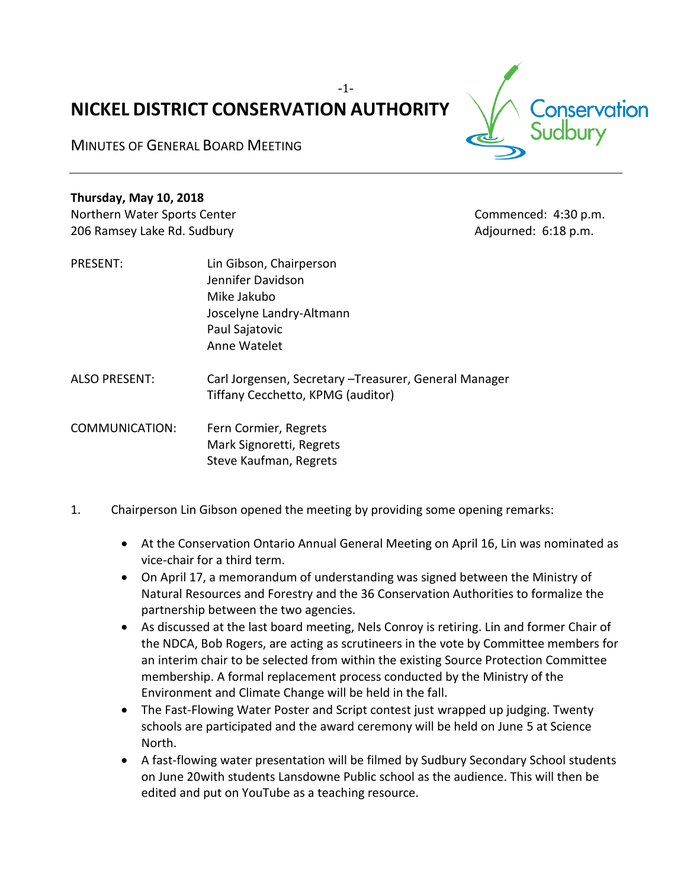# **NICKEL DISTRICT CONSERVATION AUTHORITY**

-1-

MINUTES OF GENERAL BOARD MEETING

**Thursday, May 10, 2018**

206 Ramsey Lake Rd. Sudbury **Adjourned: 6:18 p.m.** Adjourned: 6:18 p.m.

- PRESENT: Lin Gibson, Chairperson Jennifer Davidson Mike Jakubo Joscelyne Landry-Altmann Paul Sajatovic Anne Watelet
- ALSO PRESENT: Carl Jorgensen, Secretary –Treasurer, General Manager Tiffany Cecchetto, KPMG (auditor)
- COMMUNICATION: Fern Cormier, Regrets Mark Signoretti, Regrets Steve Kaufman, Regrets
- 1. Chairperson Lin Gibson opened the meeting by providing some opening remarks:
	- At the Conservation Ontario Annual General Meeting on April 16, Lin was nominated as vice-chair for a third term.
	- On April 17, a memorandum of understanding was signed between the Ministry of Natural Resources and Forestry and the 36 Conservation Authorities to formalize the partnership between the two agencies.
	- As discussed at the last board meeting, Nels Conroy is retiring. Lin and former Chair of the NDCA, Bob Rogers, are acting as scrutineers in the vote by Committee members for an interim chair to be selected from within the existing Source Protection Committee membership. A formal replacement process conducted by the Ministry of the Environment and Climate Change will be held in the fall.
	- The Fast-Flowing Water Poster and Script contest just wrapped up judging. Twenty schools are participated and the award ceremony will be held on June 5 at Science North.
	- A fast-flowing water presentation will be filmed by Sudbury Secondary School students on June 20with students Lansdowne Public school as the audience. This will then be edited and put on YouTube as a teaching resource.



Northern Water Sports Center Commenced: 4:30 p.m.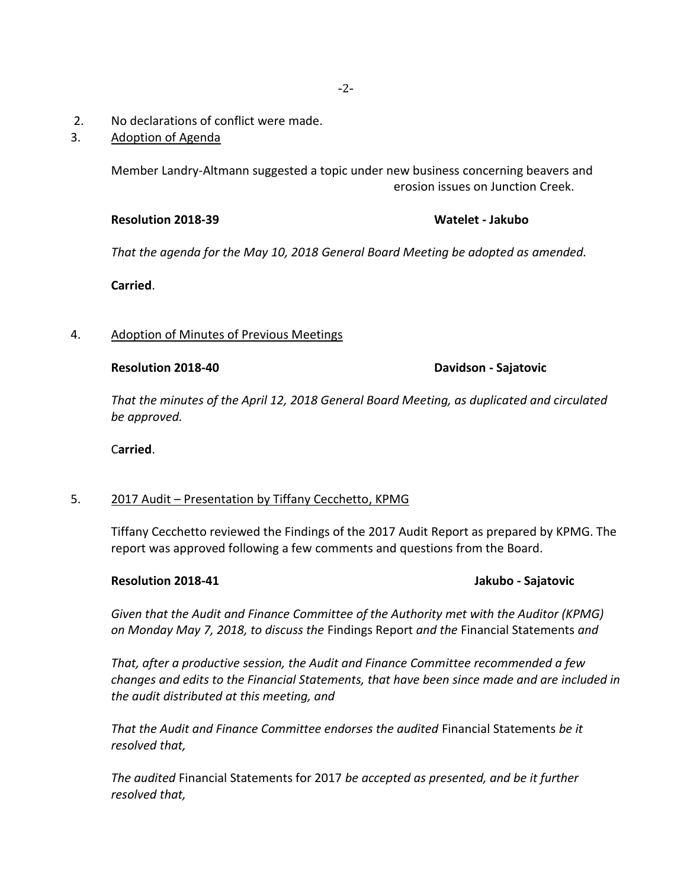- 2. No declarations of conflict were made.
- 3. Adoption of Agenda

Member Landry-Altmann suggested a topic under new business concerning beavers and erosion issues on Junction Creek.

### **Resolution 2018-39 Watelet - Jakubo**

*That the agenda for the May 10, 2018 General Board Meeting be adopted as amended.*

**Carried**.

### 4. Adoption of Minutes of Previous Meetings

### **Resolution 2018-40 Davidson - Sajatovic**

*That the minutes of the April 12, 2018 General Board Meeting, as duplicated and circulated be approved.*

C**arried**.

# 5. 2017 Audit – Presentation by Tiffany Cecchetto, KPMG

Tiffany Cecchetto reviewed the Findings of the 2017 Audit Report as prepared by KPMG. The report was approved following a few comments and questions from the Board.

# **Resolution 2018-41 Jakubo - Sajatovic**

*Given that the Audit and Finance Committee of the Authority met with the Auditor (KPMG) on Monday May 7, 2018, to discuss the* Findings Report *and the* Financial Statements *and*

*That, after a productive session, the Audit and Finance Committee recommended a few changes and edits to the Financial Statements, that have been since made and are included in the audit distributed at this meeting, and*

*That the Audit and Finance Committee endorses the audited* Financial Statements *be it resolved that,*

*The audited* Financial Statements for 2017 *be accepted as presented, and be it further resolved that,*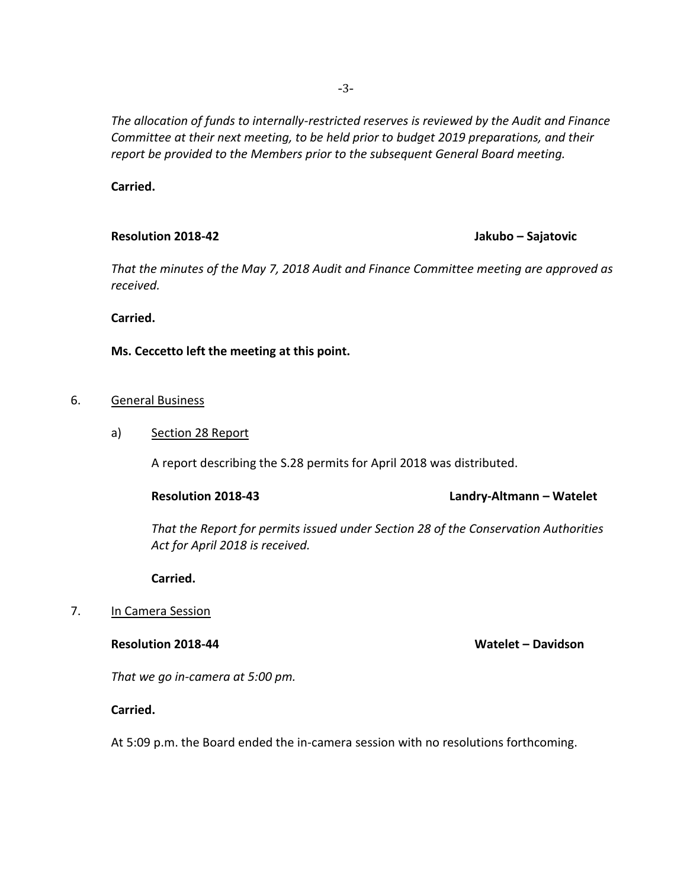*The allocation of funds to internally-restricted reserves is reviewed by the Audit and Finance Committee at their next meeting, to be held prior to budget 2019 preparations, and their report be provided to the Members prior to the subsequent General Board meeting.*

**Carried.**

# **Resolution 2018-42 Jakubo – Sajatovic**

*That the minutes of the May 7, 2018 Audit and Finance Committee meeting are approved as received.* 

**Carried.**

# **Ms. Ceccetto left the meeting at this point.**

# 6. General Business

# a) Section 28 Report

A report describing the S.28 permits for April 2018 was distributed.

# **Resolution 2018-43 Landry-Altmann – Watelet**

*That the Report for permits issued under Section 28 of the Conservation Authorities Act for April 2018 is received.*

**Carried.**

# 7. In Camera Session

**Resolution 2018-44 Watelet – Davidson**

*That we go in-camera at 5:00 pm.*

# **Carried.**

At 5:09 p.m. the Board ended the in-camera session with no resolutions forthcoming.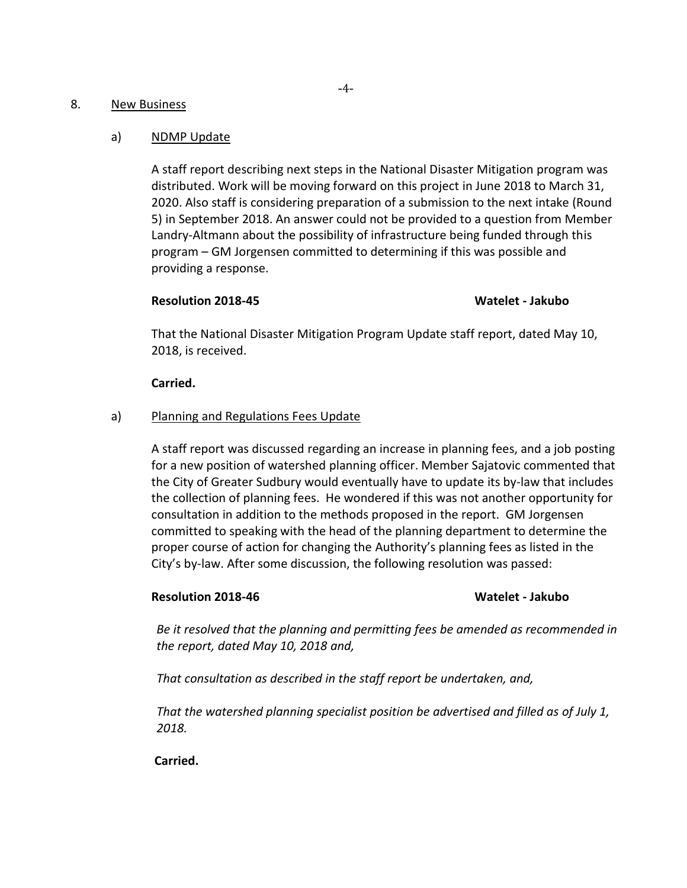# 8. New Business

### a) NDMP Update

A staff report describing next steps in the National Disaster Mitigation program was distributed. Work will be moving forward on this project in June 2018 to March 31, 2020. Also staff is considering preparation of a submission to the next intake (Round 5) in September 2018. An answer could not be provided to a question from Member Landry-Altmann about the possibility of infrastructure being funded through this program – GM Jorgensen committed to determining if this was possible and providing a response.

# **Resolution 2018-45 Watelet - Jakubo**

That the National Disaster Mitigation Program Update staff report, dated May 10, 2018, is received.

### **Carried.**

# a) Planning and Regulations Fees Update

A staff report was discussed regarding an increase in planning fees, and a job posting for a new position of watershed planning officer. Member Sajatovic commented that the City of Greater Sudbury would eventually have to update its by-law that includes the collection of planning fees. He wondered if this was not another opportunity for consultation in addition to the methods proposed in the report. GM Jorgensen committed to speaking with the head of the planning department to determine the proper course of action for changing the Authority's planning fees as listed in the City's by-law. After some discussion, the following resolution was passed:

# **Resolution 2018-46 Watelet - Jakubo**

*Be it resolved that the planning and permitting fees be amended as recommended in the report, dated May 10, 2018 and,*

*That consultation as described in the staff report be undertaken, and,*

*That the watershed planning specialist position be advertised and filled as of July 1, 2018.* 

**Carried.**